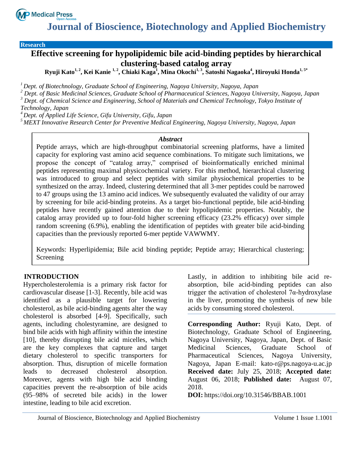

**Research**

# **Effective screening for hypolipidemic bile acid-binding peptides by hierarchical clustering-based catalog array**

**Ryuji Kato1, 2, Kei Kanie 1, 2, Chiaki Kaga<sup>1</sup> , Mina Okochi1, 3 , Satoshi Nagaoka<sup>4</sup> , Hiroyuki Honda1, 5\***

*<sup>1</sup>Dept. of Biotechnology, Graduate School of Engineering, Nagoya University, Nagoya, Japan*

*<sup>2</sup> Dept. of Basic Medicinal Sciences, Graduate School of Pharmaceutical Sciences, Nagoya University, Nagoya, Japan <sup>3</sup> Dept. of Chemical Science and Engineering, School of Materials and Chemical Technology, Tokyo Institute of Technology, Japan*

*<sup>4</sup>Dept. of Applied Life Science, Gifu University, Gifu, Japan*

*<sup>5</sup>MEXT Innovative Research Center for Preventive Medical Engineering, Nagoya University, Nagoya, Japan*

#### *Abstract*

Peptide arrays, which are high-throughput combinatorial screening platforms, have a limited capacity for exploring vast amino acid sequence combinations. To mitigate such limitations, we propose the concept of "catalog array," comprised of bioinformatically enriched minimal peptides representing maximal physicochemical variety. For this method, hierarchical clustering was introduced to group and select peptides with similar physiochemical properties to be synthesized on the array. Indeed, clustering determined that all 3-mer peptides could be narrowed to 47 groups using the 13 amino acid indices. We subsequently evaluated the validity of our array by screening for bile acid-binding proteins. As a target bio-functional peptide, bile acid-binding peptides have recently gained attention due to their hypolipidemic properties. Notably, the catalog array provided up to four-fold higher screening efficacy (23.2% efficacy) over simple random screening (6.9%), enabling the identification of peptides with greater bile acid-binding capacities than the previously reported 6-mer peptide VAWWMY.

Keywords: Hyperlipidemia; Bile acid binding peptide; Peptide array; Hierarchical clustering; Screening

#### **INTRODUCTION**

Hypercholesterolemia is a primary risk factor for cardiovascular disease [1-3]. Recently, bile acid was identified as a plausible target for lowering cholesterol, as bile acid-binding agents alter the way cholesterol is absorbed [4-9]. Specifically, such agents, including cholestyramine, are designed to bind bile acids with high affinity within the intestine [10], thereby disrupting bile acid micelles, which are the key complexes that capture and target dietary cholesterol to specific transporters for absorption. Thus, disruption of micelle formation leads to decreased cholesterol absorption. Moreover, agents with high bile acid binding capacities prevent the re-absorption of bile acids (95–98% of secreted bile acids) in the lower intestine, leading to bile acid excretion.

Lastly, in addition to inhibiting bile acid reabsorption, bile acid-binding peptides can also trigger the activation of cholesterol 7α-hydroxylase in the liver, promoting the synthesis of new bile acids by consuming stored cholesterol.

**Corresponding Author:** Ryuji Kato, Dept. of Biotechnology, Graduate School of Engineering, Nagoya University, Nagoya, Japan, Dept. of Basic Medicinal Sciences, Graduate School of Pharmaceutical Sciences, Nagoya University, Nagoya, Japan E-mail: kato-r@ps.nagoya-u.ac.jp **Received date:** July 25, 2018; **Accepted date:** August 06, 2018; **Published date:** August 07, 2018.

**DOI:** https://doi.org/10.31546/BBAB.1001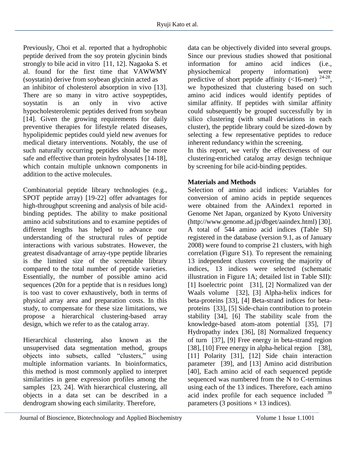Previously, Choi et al. reported that a hydrophobic peptide derived from the soy protein glycinin binds strongly to bile acid in vitro [11, 12]. Nagaoka S. et al. found for the first time that VAWWMY (soystatin) derive from soybean glycinin acted as an inhibitor of cholesterol absorption in vivo [13]. There are so many in vitro active soypeptides, soystatin is an only in vivo active hypocholesterolemic peptides derived from soybean [14]. Given the growing requirements for daily preventive therapies for lifestyle related diseases, hypolipidemic peptides could yield new avenues for medical dietary interventions. Notably, the use of such naturally occurring peptides should be more safe and effective than protein hydrolysates [14-18], which contain multiple unknown components in addition to the active molecules.

Combinatorial peptide library technologies (e.g., SPOT peptide array) [19-22] offer advantages for high-throughput screening and analysis of bile acidbinding peptides. The ability to make positional amino acid substitutions and to examine peptides of different lengths has helped to advance our understanding of the structural rules of peptide interactions with various substrates. However, the greatest disadvantage of array-type peptide libraries is the limited size of the screenable library compared to the total number of peptide varieties. Essentially, the number of possible amino acid sequences (20n for a peptide that is n residues long) is too vast to cover exhaustively, both in terms of physical array area and preparation costs. In this study, to compensate for these size limitations, we propose a hierarchical clustering-based array design, which we refer to as the catalog array.

Hierarchical clustering, also known as the unsupervised data segmentation method, groups objects into subsets, called "clusters," using multiple information variants. In bioinformatics, this method is most commonly applied to interpret similarities in gene expression profiles among the samples [23, 24]. With hierarchical clustering, all objects in a data set can be described in a dendrogram showing each similarity. Therefore,

data can be objectively divided into several groups. Since our previous studies showed that positional information for amino acid indices (i.e., physiochemical property information) were predictive of short peptide affinity  $\left($  <16-mer)  $^{24-28}$ , we hypothesized that clustering based on such amino acid indices would identify peptides of similar affinity. If peptides with similar affinity could subsequently be grouped successfully by in silico clustering (with small deviations in each cluster), the peptide library could be sized-down by selecting a few representative peptides to reduce inherent redundancy within the screening.

In this report, we verify the effectiveness of our clustering-enriched catalog array design technique by screening for bile acid-binding peptides.

# **Materials and Methods**

Selection of amino acid indices: Variables for conversion of amino acids in peptide sequences were obtained from the AAindex1 reported in Genome Net Japan, organized by Kyoto University (http://www.genome.ad.jp/dbget/aaindex.html) [30]. A total of 544 amino acid indices (Table SI) registered in the database (version 9.1, as of January 2008) were found to comprise 21 clusters, with high correlation (Figure S1). To represent the remaining 13 independent clusters covering the majority of indices, 13 indices were selected (schematic illustration in Figure 1A; detailed list in Table SII): [1] Isoelectric point [31], [2] Normalized van der Waals volume [32], [3] Alpha-helix indices for beta-proteins [33], [4] Beta-strand indices for betaproteins [33], [5] Side-chain contribution to protein stability [34], [6] The stability scale from the knowledge-based atom-atom potential [35], [7] Hydropathy index [36], [8] Normalized frequency of turn [37], [9] Free energy in beta-strand region [38], [10] Free energy in alpha-helical region [38], [11] Polarity [31], [12] Side chain interaction parameter [39], and [13] Amino acid distribution [40], Each amino acid of each sequenced peptide sequenced was numbered from the N to C-terminus using each of the 13 indices. Therefore, each amino acid index profile for each sequence included <sup>39</sup> parameters (3 positions  $\times$  13 indices).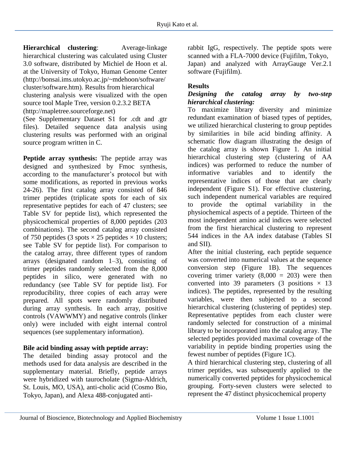**Hierarchical clustering**: Average-linkage hierarchical clustering was calculated using Cluster 3.0 software, distributed by Michiel de Hoon et al. at the University of Tokyo, Human Genome Center (http://bonsai.ims.utokyo.ac.jp/~mdehoon/software/ cluster/software.htm). Results from hierarchical clustering analysis were visualized with the open source tool Maple Tree, version 0.2.3.2 BETA (http://mapletree.sourceforge.net)

(See Supplementary Dataset S1 for .cdt and .gtr files). Detailed sequence data analysis using clustering results was performed with an original source program written in C.

**Peptide array synthesis:** The peptide array was designed and synthesized by Fmoc synthesis, according to the manufacturer's protocol but with some modifications, as reported in previous works 24-26). The first catalog array consisted of 846 trimer peptides (triplicate spots for each of six representative peptides for each of 47 clusters; see Table SV for peptide list), which represented the physicochemical properties of 8,000 peptides (203 combinations). The second catalog array consisted of 750 peptides (3 spots  $\times$  25 peptides  $\times$  10 clusters; see Table SV for peptide list). For comparison to the catalog array, three different types of random arrays (designated random  $1-3$ ), consisting of trimer peptides randomly selected from the 8,000 peptides in silico, were generated with no redundancy (see Table SV for peptide list). For reproducibility, three copies of each array were prepared. All spots were randomly distributed during array synthesis. In each array, positive controls (VAWWMY) and negative controls (linker only) were included with eight internal control sequences (see supplementary information).

### **Bile acid binding assay with peptide array:**

The detailed binding assay protocol and the methods used for data analysis are described in the supplementary material. Briefly, peptide arrays were hybridized with taurocholate (Sigma-Aldrich, St. Louis, MO, USA), anti-cholic acid (Cosmo Bio, Tokyo, Japan), and Alexa 488-conjugated antirabbit IgG, respectively. The peptide spots were scanned with a FLA-7000 device (Fujifilm, Tokyo, Japan) and analyzed with ArrayGauge Ver.2.1 software (Fujifilm).

## **Results**

#### *Designing the catalog array by two-step hierarchical clustering:*

To maximize library diversity and minimize redundant examination of biased types of peptides, we utilized hierarchical clustering to group peptides by similarities in bile acid binding affinity. A schematic flow diagram illustrating the design of the catalog array is shown Figure 1. An initial hierarchical clustering step (clustering of AA indices) was performed to reduce the number of informative variables and to identify the representative indices of those that are clearly independent (Figure S1). For effective clustering, such independent numerical variables are required to provide the optimal variability in the physiochemical aspects of a peptide. Thirteen of the most independent amino acid indices were selected from the first hierarchical clustering to represent 544 indices in the AA index database (Tables SI and SII).

After the initial clustering, each peptide sequence was converted into numerical values at the sequence conversion step (Figure 1B). The sequences covering trimer variety  $(8,000 = 203)$  were then converted into 39 parameters (3 positions  $\times$  13 indices). The peptides, represented by the resulting variables, were then subjected to a second hierarchical clustering (clustering of peptides) step. Representative peptides from each cluster were randomly selected for construction of a minimal library to be incorporated into the catalog array. The selected peptides provided maximal coverage of the variability in peptide binding properties using the fewest number of peptides (Figure 1C).

A third hierarchical clustering step, clustering of all trimer peptides, was subsequently applied to the numerically converted peptides for physicochemical grouping. Forty-seven clusters were selected to represent the 47 distinct physicochemical property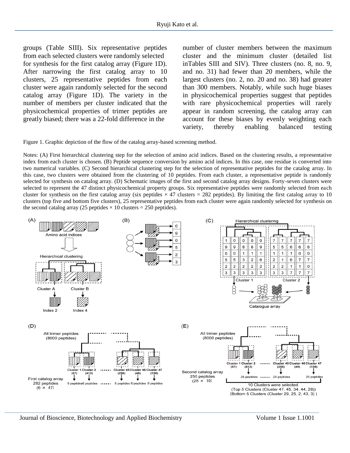groups (Table SIII). Six representative peptides from each selected clusters were randomly selected for synthesis for the first catalog array (Figure 1D). After narrowing the first catalog array to 10 clusters, 25 representative peptides from each cluster were again randomly selected for the second catalog array (Figure 1D). The variety in the number of members per cluster indicated that the physicochemical properties of trimer peptides are greatly biased; there was a 22-fold difference in the

number of cluster members between the maximum cluster and the minimum cluster (detailed list inTables SIII and SIV). Three clusters (no. 8, no. 9, and no. 31) had fewer than 20 members, while the largest clusters (no. 2, no. 20 and no. 38) had greater than 300 members. Notably, while such huge biases in physicochemical properties suggest that peptides with rare physicochemical properties will rarely appear in random screening, the catalog array can account for these biases by evenly weighting each variety, thereby enabling balanced testing

Figure 1. Graphic depiction of the flow of the catalog array-based screening method.

Notes: (A) First hierarchical clustering step for the selection of amino acid indices. Based on the clustering results, a representative index from each cluster is chosen. (B) Peptide sequence conversion by amino acid indices. In this case, one residue is converted into two numerical variables. (C) Second hierarchical clustering step for the selection of representative peptides for the catalog array. In this case, two clusters were obtained from the clustering of 10 peptides. From each cluster, a representative peptide is randomly selected for synthesis on catalog array. (D) Schematic images of the first and second catalog array designs. Forty-seven clusters were selected to represent the 47 distinct physicochemical property groups. Six representative peptides were randomly selected from each cluster for synthesis on the first catalog array (six peptides  $\times$  47 clusters = 282 peptides). By limiting the first catalog array to 10 clusters (top five and bottom five clusters), 25 representative peptides from each cluster were again randomly selected for synthesis on the second catalog array (25 peptides  $\times$  10 clusters = 250 peptides).

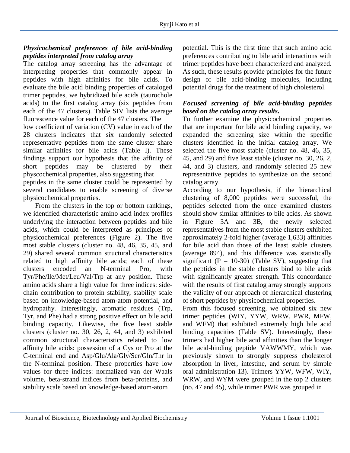### *Physicochemical preferences of bile acid-binding peptides interpreted from catalog array*

The catalog array screening has the advantage of interpreting properties that commonly appear in peptides with high affinities for bile acids. To evaluate the bile acid binding properties of cataloged trimer peptides, we hybridized bile acids (taurochole acids) to the first catalog array (six peptides from each of the 47 clusters). Table SIV lists the average fluorescence value for each of the 47 clusters. The low coefficient of variation (CV) value in each of the 28 clusters indicates that six randomly selected representative peptides from the same cluster share similar affinities for bile acids (Table I). These findings support our hypothesis that the affinity of short peptides may be clustered by their physcochemical properties, also suggesting that peptides in the same cluster could be represented by

several candidates to enable screening of diverse physicochemical properties.

 From the clusters in the top or bottom rankings, we identified characteristic amino acid index profiles underlying the interaction between peptides and bile acids, which could be interpreted as principles of physicochemical preferences (Figure 2). The five most stable clusters (cluster no. 48, 46, 35, 45, and 29) shared several common structural characteristics related to high affinity bile acids; each of these clusters encoded an N-terminal Pro, with Tyr/Phe/Ile/Met/Leu/Val/Trp at any position. These amino acids share a high value for three indices: sidechain contribution to protein stability, stability scale based on knowledge-based atom-atom potential, and hydropathy. Interestingly, aromatic residues (Trp, Tyr, and Phe) had a strong positive effect on bile acid binding capacity. Likewise, the five least stable clusters (cluster no. 30, 26, 2, 44, and 3) exhibited common structural characteristics related to low affinity bile acids: possession of a Cys or Pro at the C-terminal end and Asp/Glu/Ala/Gly/Ser/Gln/Thr in the N-terminal position. These properties have low values for three indices: normalized van der Waals volume, beta-strand indices from beta-proteins, and stability scale based on knowledge-based atom-atom

potential. This is the first time that such amino acid preferences contributing to bile acid interactions with trimer peptides have been characterized and analyzed. As such, these results provide principles for the future design of bile acid-binding molecules, including potential drugs for the treatment of high cholesterol.

#### *Focused screening of bile acid-binding peptides based on the catalog array results.*

To further examine the physicochemical properties that are important for bile acid binding capacity, we expanded the screening size within the specific clusters identified in the initial catalog array. We selected the five most stable (cluster no. 48, 46, 35, 45, and 29) and five least stable (cluster no. 30, 26, 2, 44, and 3) clusters, and randomly selected 25 new representative peptides to synthesize on the second catalog array.

According to our hypothesis, if the hierarchical clustering of 8,000 peptides were successful, the peptides selected from the once examined clusters should show similar affinities to bile acids. As shown in Figure 3A and 3B, the newly selected representatives from the most stable clusters exhibited approximately 2-fold higher (average 1,633) affinities for bile acid than those of the least stable clusters (average 894), and this difference was statistically significant ( $P = 10-30$ ) (Table SV), suggesting that the peptides in the stable clusters bind to bile acids with significantly greater strength. This concordance with the results of first catalog array strongly supports the validity of our approach of hierarchical clustering of short peptides by physicochemical properties.

From this focused screening, we obtained six new trimer peptides (WIY, YYW, WRW, PWR, MFW, and WFM) that exhibited extremely high bile acid binding capacities (Table SV). Interestingly, these trimers had higher bile acid affinities than the longer bile acid-binding peptide VAWWMY, which was previously shown to strongly suppress cholesterol absorption in liver, intestine, and serum by simple oral administration 13). Trimers YYW, WFW, WIY, WRW, and WYM were grouped in the top 2 clusters (no. 47 and 45), while trimer PWR was grouped in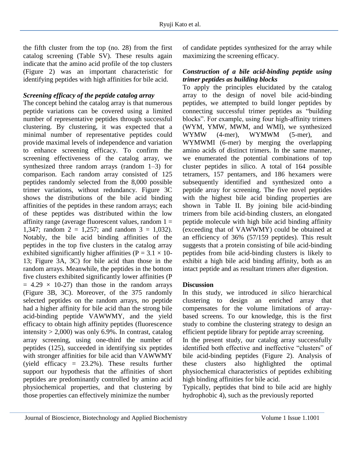the fifth cluster from the top (no. 28) from the first catalog screening (Table SV). These results again indicate that the amino acid profile of the top clusters (Figure 2) was an important characteristic for identifying peptides with high affinities for bile acid.

### *Screening efficacy of the peptide catalog array*

The concept behind the catalog array is that numerous peptide variations can be covered using a limited number of representative peptides through successful clustering. By clustering, it was expected that a minimal number of representative peptides could provide maximal levels of independence and variation to enhance screening efficacy. To confirm the screening effectiveness of the catalog array, we synthesized three random arrays (random 1–3) for comparison. Each random array consisted of 125 peptides randomly selected from the 8,000 possible trimer variations, without redundancy. Figure 3C shows the distributions of the bile acid binding affinities of the peptides in these random arrays; each of these peptides was distributed within the low affinity range (average fluorescent values, random  $1 =$ 1,347; random  $2 = 1,257$ ; and random  $3 = 1,032$ ). Notably, the bile acid binding affinities of the peptides in the top five clusters in the catalog array exhibited significantly higher affinities ( $P = 3.1 \times 10$ -13; Figure 3A, 3C) for bile acid than those in the random arrays. Meanwhile, the peptides in the bottom five clusters exhibited significantly lower affinities (P  $= 4.29 \times 10-27$  than those in the random arrays (Figure 3B, 3C). Moreover, of the 375 randomly selected peptides on the random arrays, no peptide had a higher affinity for bile acid than the strong bile acid-binding peptide VAWWMY, and the yield efficacy to obtain high affinity peptides (fluorescence intensity  $> 2,000$ ) was only 6.9%. In contrast, catalog array screening, using one-third the number of peptides (125), succeeded in identifying six peptides with stronger affinities for bile acid than VAWWMY (yield efficacy  $= 23.2\%$ ). These results further support our hypothesis that the affinities of short peptides are predominantly controlled by amino acid physiochemical properties, and that clustering by those properties can effectively minimize the number

of candidate peptides synthesized for the array while maximizing the screening efficacy.

#### *Construction of a bile acid-binding peptide using trimer peptides as building blocks*

To apply the principles elucidated by the catalog array to the design of novel bile acid-binding peptides, we attempted to build longer peptides by connecting successful trimer peptides as "building blocks". For example, using four high-affinity trimers (WYM, YMW, MWM, and WMI), we synthesized WYMW (4-mer), WYMWM (5-mer), and WYMWMI (6-mer) by merging the overlapping amino acids of distinct trimers. In the same manner, we enumerated the potential combinations of top cluster peptides in silico. A total of 164 possible tetramers, 157 pentamers, and 186 hexamers were subsequently identified and synthesized onto a peptide array for screening. The five novel peptides with the highest bile acid binding properties are shown in Table II. By joining bile acid-binding trimers from bile acid-binding clusters, an elongated peptide molecule with high bile acid binding affinity (exceeding that of VAWWMY) could be obtained at an efficiency of 36% (57/159 peptides). This result suggests that a protein consisting of bile acid-binding peptides from bile acid-binding clusters is likely to exhibit a high bile acid binding affinity, both as an intact peptide and as resultant trimers after digestion.

#### **Discussion**

In this study, we introduced *in silico* hierarchical clustering to design an enriched array that compensates for the volume limitations of arraybased screens. To our knowledge, this is the first study to combine the clustering strategy to design an efficient peptide library for peptide array screening.

In the present study, our catalog array successfully identified both effective and ineffective "clusters" of bile acid-binding peptides (Figure 2). Analysis of these clusters also highlighted the optimal physiochemical characteristics of peptides exhibiting high binding affinities for bile acid.

Typically, peptides that bind to bile acid are highly hydrophobic 4), such as the previously reported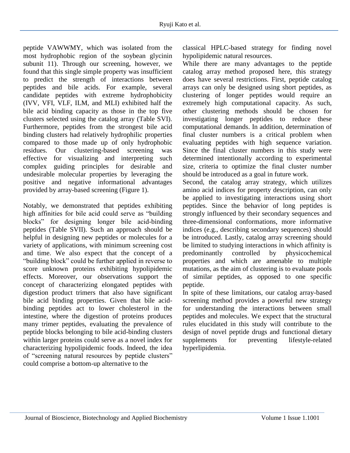peptide VAWWMY, which was isolated from the most hydrophobic region of the soybean glycinin subunit 11). Through our screening, however, we found that this single simple property was insufficient to predict the strength of interactions between peptides and bile acids. For example, several candidate peptides with extreme hydrophobicity (IVV, VFI, VLF, ILM, and MLI) exhibited half the bile acid binding capacity as those in the top five clusters selected using the catalog array (Table SVI). Furthermore, peptides from the strongest bile acid binding clusters had relatively hydrophilic properties compared to those made up of only hydrophobic residues. Our clustering-based screening was effective for visualizing and interpreting such complex guiding principles for desirable and undesirable molecular properties by leveraging the positive and negative informational advantages provided by array-based screening (Figure 1).

Notably, we demonstrated that peptides exhibiting high affinities for bile acid could serve as "building blocks" for designing longer bile acid-binding peptides (Table SVII). Such an approach should be helpful in designing new peptides or molecules for a variety of applications, with minimum screening cost and time. We also expect that the concept of a "building block" could be further applied in reverse to score unknown proteins exhibiting hypolipidemic effects. Moreover, our observations support the concept of characterizing elongated peptides with digestion product trimers that also have significant bile acid binding properties. Given that bile acidbinding peptides act to lower cholesterol in the intestine, where the digestion of proteins produces many trimer peptides, evaluating the prevalence of peptide blocks belonging to bile acid-binding clusters within larger proteins could serve as a novel index for characterizing hypolipidemic foods. Indeed, the idea of "screening natural resources by peptide clusters" could comprise a bottom-up alternative to the

classical HPLC-based strategy for finding novel hypolipidemic natural resources.

While there are many advantages to the peptide catalog array method proposed here, this strategy does have several restrictions. First, peptide catalog arrays can only be designed using short peptides, as clustering of longer peptides would require an extremely high computational capacity. As such, other clustering methods should be chosen for investigating longer peptides to reduce these computational demands. In addition, determination of final cluster numbers is a critical problem when evaluating peptides with high sequence variation. Since the final cluster numbers in this study were determined intentionally according to experimental size, criteria to optimize the final cluster number should be introduced as a goal in future work.

Second, the catalog array strategy, which utilizes amino acid indices for property description, can only be applied to investigating interactions using short peptides. Since the behavior of long peptides is strongly influenced by their secondary sequences and three-dimensional conformations, more informative indices (e.g., describing secondary sequences) should be introduced. Lastly, catalog array screening should be limited to studying interactions in which affinity is predominantly controlled by physicochemical properties and which are amenable to multiple mutations, as the aim of clustering is to evaluate pools of similar peptides, as opposed to one specific peptide.

In spite of these limitations, our catalog array-based screening method provides a powerful new strategy for understanding the interactions between small peptides and molecules. We expect that the structural rules elucidated in this study will contribute to the design of novel peptide drugs and functional dietary supplements for preventing lifestyle-related hyperlipidemia.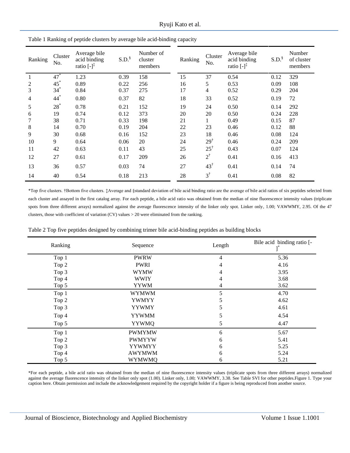| Ranking | Cluster<br>No. | Average bile<br>acid binding<br>ratio $\left[-\right]^{\ddagger}$ | S.D. <sup>§</sup> | Number of<br>cluster<br>members | Ranking | Cluster<br>No. | Average bile<br>acid binding<br>ratio $\left[-\right]^{\ddagger}$ | S.D. <sup>§</sup> | Number<br>of cluster<br>members |
|---------|----------------|-------------------------------------------------------------------|-------------------|---------------------------------|---------|----------------|-------------------------------------------------------------------|-------------------|---------------------------------|
| 1       | $47^*$         | 1.23                                                              | 0.39              | 158                             | 15      | 37             | 0.54                                                              | 0.12              | 329                             |
| 2       | $45^*$         | 0.89                                                              | 0.22              | 256                             | 16      | 5              | 0.53                                                              | 0.09              | 108                             |
| 3       | $34*$          | 0.84                                                              | 0.37              | 275                             | 17      | $\overline{4}$ | 0.52                                                              | 0.29              | 204                             |
| 4       | $44*$          | 0.80                                                              | 0.37              | 82                              | 18      | 33             | 0.52                                                              | 0.19              | 72                              |
| 5       | $28^*$         | 0.78                                                              | 0.21              | 152                             | 19      | 24             | 0.50                                                              | 0.14              | 292                             |
| 6       | 19             | 0.74                                                              | 0.12              | 373                             | 20      | 20             | 0.50                                                              | 0.24              | 228                             |
| 7       | 38             | 0.71                                                              | 0.33              | 198                             | 21      | 1              | 0.49                                                              | 0.15              | 87                              |
| 8       | 14             | 0.70                                                              | 0.19              | 204                             | 22      | 23             | 0.46                                                              | 0.12              | 88                              |
| 9       | 30             | 0.68                                                              | 0.16              | 152                             | 23      | 18             | 0.46                                                              | 0.08              | 124                             |
| 10      | 9              | 0.64                                                              | 0.06              | 20                              | 24      | $29^{\dagger}$ | 0.46                                                              | 0.24              | 209                             |
| 11      | 42             | 0.63                                                              | 0.11              | 43                              | 25      | $25^{\dagger}$ | 0.43                                                              | 0.07              | 124                             |
| 12      | 27             | 0.61                                                              | 0.17              | 209                             | 26      | $2^{\dagger}$  | 0.41                                                              | 0.16              | 413                             |
| 13      | 36             | 0.57                                                              | 0.03              | 74                              | 27      | $43^{\dagger}$ | 0.41                                                              | 0.14              | 74                              |
| 14      | 40             | 0.54                                                              | 0.18              | 213                             | 28      | $3^{\dagger}$  | 0.41                                                              | 0.08              | 82                              |

Table 1 Ranking of peptide clusters by average bile acid-binding capacity

\*Top five clusters. †Bottom five clusters. ‡Average and §standard deviation of bile acid binding ratio are the average of bile acid ratios of six peptides selected from each cluster and assayed in the first catalog array. For each peptide, a bile acid ratio was obtained from the median of nine fluorescence intensity values (triplicate spots from three different arrays) normalized against the average fluorescence intensity of the linker only spot. Linker only, 1.00; VAWWMY, 2.95. Of the 47 clusters, those with coefficient of variation (CV) values > 20 were eliminated from the ranking.

|  |  |  |  | Table 2 Top five peptides designed by combining trimer bile acid-binding peptides as building blocks |
|--|--|--|--|------------------------------------------------------------------------------------------------------|
|  |  |  |  |                                                                                                      |
|  |  |  |  |                                                                                                      |
|  |  |  |  |                                                                                                      |

| Ranking | Sequence      | Length | Bile acid binding ratio [- |
|---------|---------------|--------|----------------------------|
| Top 1   | <b>PWRW</b>   | 4      | 5.36                       |
| Top 2   | <b>PWRI</b>   | 4      | 4.16                       |
| Top 3   | <b>WYMW</b>   | 4      | 3.95                       |
| Top 4   | <b>WWIY</b>   | 4      | 3.68                       |
| Top 5   | <b>YYWM</b>   | 4      | 3.62                       |
| Top 1   | <b>WYMWM</b>  | 5      | 4.70                       |
| Top 2   | <b>YWMYY</b>  | 5      | 4.62                       |
| Top 3   | <b>YYWMY</b>  | 5      | 4.61                       |
| Top 4   | <b>YYWMM</b>  | 5      | 4.54                       |
| Top 5   | <b>YYWMQ</b>  | 5      | 4.47                       |
| Top 1   | <b>PWMYMW</b> | 6      | 5.67                       |
| Top 2   | <b>PWMYYW</b> | 6      | 5.41                       |
| Top 3   | <b>YYWMYY</b> | 6      | 5.25                       |
| Top 4   | <b>AWYMWM</b> | 6      | 5.24                       |
| Top 5   | <b>WYMWMQ</b> | 6      | 5.21                       |

\*For each peptide, a bile acid ratio was obtained from the median of nine fluorescence intensity values (triplicate spots from three different arrays) normalized against the average fluorescence intensity of the linker only spot (1.00). Linker only, 1.00; VAWWMY, 3.38. See Table SVI for other peptides.Figure 1. Type your caption here. Obtain permission and include the acknowledgement required by the copyright holder if a figure is being reproduced from another source.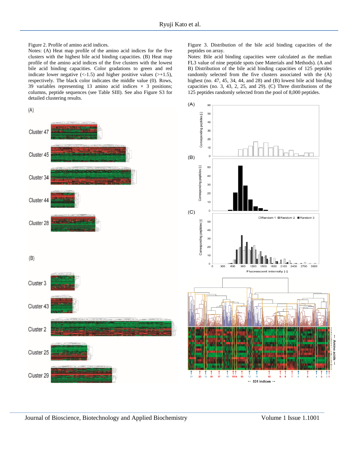Figure 2. Profile of amino acid indices.

Notes: (A) Heat map profile of the amino acid indices for the five clusters with the highest bile acid binding capacities. (B) Heat map profile of the amino acid indices of the five clusters with the lowest bile acid binding capacities. Color gradations to green and red indicate lower negative  $\left($  < -1.5) and higher positive values  $\left($  > +1.5), respectively. The black color indicates the middle value (0). Rows, 39 variables representing 13 amino acid indices  $\times$  3 positions; columns, peptide sequences (see Table SIII). See also Figure S3 for detailed clustering results.

Figure 3. Distribution of the bile acid binding capacities of the peptides on array.

Notes: Bile acid binding capacities were calculated as the median FL3 value of nine peptide spots (see Materials and Methods). (A and B) Distribution of the bile acid binding capacities of 125 peptides randomly selected from the five clusters associated with the (A) highest (no. 47, 45, 34, 44, and 28) and (B) lowest bile acid binding capacities (no. 3, 43, 2, 25, and 29). (C) Three distributions of the 125 peptides randomly selected from the pool of 8,000 peptides.

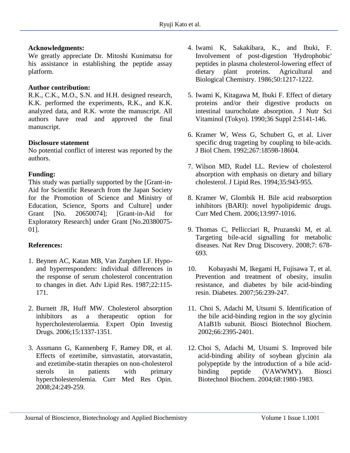### **Acknowledgments:**

We greatly appreciate Dr. Mitoshi Kunimatsu for his assistance in establishing the peptide assay platform.

#### **Author contribution:**

R.K., C.K., M.O., S.N. and H.H. designed research, K.K. performed the experiments, R.K., and K.K. analyzed data, and R.K. wrote the manuscript. All authors have read and approved the final manuscript.

#### **Disclosure statement**

No potential conflict of interest was reported by the authors.

#### **Funding:**

This study was partially supported by the [Grant-in-Aid for Scientific Research from the Japan Society for the Promotion of Science and Ministry of Education, Science, Sports and Culture] under Grant [No. 20650074]; [Grant-in-Aid for Exploratory Research] under Grant [No.20380075- 01].

### **References:**

- 1. Beynen AC, Katan [MB, Van Zutphen LF. Hypo](https://www.ncbi.nlm.nih.gov/pubmed/3328488)[and hyperresponders: individual differences in](https://www.ncbi.nlm.nih.gov/pubmed/3328488)  [the response of serum cholesterol concentration](https://www.ncbi.nlm.nih.gov/pubmed/3328488)  [to changes in diet. Adv Lipid Res. 1987;22:115-](https://www.ncbi.nlm.nih.gov/pubmed/3328488) [171.](https://www.ncbi.nlm.nih.gov/pubmed/3328488)
- 2. [Burnett JR, Huff MW. Cholesterol absorption](https://www.tandfonline.com/doi/abs/10.1517/13543784.15.11.1337?journalCode=ieid20)  [inhibitors as a therapeutic option for](https://www.tandfonline.com/doi/abs/10.1517/13543784.15.11.1337?journalCode=ieid20)  [hypercholesterolaemia. Expert Opin Investig](https://www.tandfonline.com/doi/abs/10.1517/13543784.15.11.1337?journalCode=ieid20)  [Drugs. 2006;15:1337-1351.](https://www.tandfonline.com/doi/abs/10.1517/13543784.15.11.1337?journalCode=ieid20)
- 3. Assmann G, [Kannenberg F, Ramey DR, et al.](https://www.tandfonline.com/doi/abs/10.1185/030079908X253663)  [Effects of ezetimibe, simvastatin, atorvastatin,](https://www.tandfonline.com/doi/abs/10.1185/030079908X253663)  [and ezetimibe-statin therapies on non-cholesterol](https://www.tandfonline.com/doi/abs/10.1185/030079908X253663)  [sterols in patients with primary](https://www.tandfonline.com/doi/abs/10.1185/030079908X253663)  [hypercholesterolemia. Curr Med Res Opin.](https://www.tandfonline.com/doi/abs/10.1185/030079908X253663)  [2008;24:249-259.](https://www.tandfonline.com/doi/abs/10.1185/030079908X253663)
- 4. [Iwami K, Sakakibara, K., and Ibuki, F.](https://www.tandfonline.com/doi/pdf/10.1080/00021369.1986.10867551)  [Involvement of post-digestion 'Hydrophobic'](https://www.tandfonline.com/doi/pdf/10.1080/00021369.1986.10867551)  [peptides in plasma cholesterol-lowering effect of](https://www.tandfonline.com/doi/pdf/10.1080/00021369.1986.10867551)  [dietary plant proteins. Agricultural and](https://www.tandfonline.com/doi/pdf/10.1080/00021369.1986.10867551)  [Biological Chemistry. 1986;50:1217-1222.](https://www.tandfonline.com/doi/pdf/10.1080/00021369.1986.10867551)
- 5. [Iwami K, Kitagawa M, Ibuki F. Effect of dietary](https://www.jstage.jst.go.jp/article/jnsv/57/1/57_1_48/_article)  [proteins and/or their digestive products on](https://www.jstage.jst.go.jp/article/jnsv/57/1/57_1_48/_article)  [intestinal taurocholate absorption. J Nutr Sci](https://www.jstage.jst.go.jp/article/jnsv/57/1/57_1_48/_article)  [Vitaminol \(Tokyo\). 1990;36 Suppl 2:S141-146.](https://www.jstage.jst.go.jp/article/jnsv/57/1/57_1_48/_article)
- 6. [Kramer W, Wess G, Schubert G, et al. Liver](http://www.jbc.org/content/267/26/18598.long)  [specific drug trageting by coupling to bile-acids.](http://www.jbc.org/content/267/26/18598.long)  [J Biol Chem. 1992;267:18598-18604.](http://www.jbc.org/content/267/26/18598.long)
- 7. [Wilson MD, Rudel LL. Review of cholesterol](http://www.jlr.org/content/35/6/943.citation?related-urls=yes&legid=jlr;35/6/943)  [absorption with emphasis on dietary and biliary](http://www.jlr.org/content/35/6/943.citation?related-urls=yes&legid=jlr;35/6/943)  [cholesterol. J Lipid Res. 1994;35:943-955.](http://www.jlr.org/content/35/6/943.citation?related-urls=yes&legid=jlr;35/6/943)
- 8. [Kramer W, Glombik H. Bile acid reabsorption](http://www.eurekaselect.com/55754/article)  [inhibitors \(BARI\): novel hypolipidemic drugs.](http://www.eurekaselect.com/55754/article)  [Curr Med Chem. 2006;13:997-1016.](http://www.eurekaselect.com/55754/article)
- 9. [Thomas C, Pellicciari R, Pruzanski M, et al.](https://www.nature.com/articles/nrd2619)  [Targeting bile-acid signalling](https://www.nature.com/articles/nrd2619) for metabolic [diseases. Nat Rev Drug Discovery. 2008;7:](https://www.nature.com/articles/nrd2619) 678- [693.](https://www.nature.com/articles/nrd2619)
- 10. [Kobayashi M, Ikegami H, Fujisawa T, et al.](http://diabetes.diabetesjournals.org/content/56/1/239.long)  [Prevention and treatment of obesity, insulin](http://diabetes.diabetesjournals.org/content/56/1/239.long)  [resistance, and diabetes by bile acid-binding](http://diabetes.diabetesjournals.org/content/56/1/239.long)  [resin. Diabetes. 2007;56:239-247.](http://diabetes.diabetesjournals.org/content/56/1/239.long)
- 11. [Choi S, Adachi M, Utsumi S. Identification of](https://www.tandfonline.com/doi/abs/10.1271/bbb.66.2395)  [the bile acid-binding region in the soy glycinin](https://www.tandfonline.com/doi/abs/10.1271/bbb.66.2395)  [A1aB1b subunit. Biosci Biotechnol](https://www.tandfonline.com/doi/abs/10.1271/bbb.66.2395) Biochem. [2002;66:2395-2401.](https://www.tandfonline.com/doi/abs/10.1271/bbb.66.2395)
- 12. [Choi S, Adachi M, Utsumi S. Improved bile](https://www.jstage.jst.go.jp/article/bbb/68/9/68_9_1980/_article)  [acid-binding ability of soybean glycinin ala](https://www.jstage.jst.go.jp/article/bbb/68/9/68_9_1980/_article)  [polypeptide by the introduction of a bile acid](https://www.jstage.jst.go.jp/article/bbb/68/9/68_9_1980/_article)[binding peptide \(VAWWMY\). Biosci](https://www.jstage.jst.go.jp/article/bbb/68/9/68_9_1980/_article)  [Biotechnol Biochem. 2004;68:1980-1983.](https://www.jstage.jst.go.jp/article/bbb/68/9/68_9_1980/_article)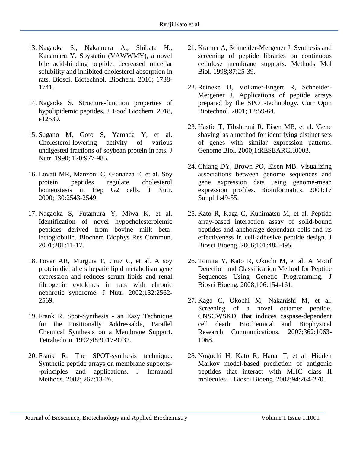- 13. [Nagaoka S., Nakamura A., Shibata H.,](https://www.jstage.jst.go.jp/article/bbb/74/8/74_100338/_article)  Kanamaru Y. Soystatin [\(VAWWMY\), a novel](https://www.jstage.jst.go.jp/article/bbb/74/8/74_100338/_article)  [bile acid-binding peptide, decreased](https://www.jstage.jst.go.jp/article/bbb/74/8/74_100338/_article) micellar [solubility and inhibited](https://www.jstage.jst.go.jp/article/bbb/74/8/74_100338/_article) cholesterol absorption in rats. [Biosci. Biotechnol. Biochem. 2010; 1738-](https://www.jstage.jst.go.jp/article/bbb/74/8/74_100338/_article) [1741.](https://www.jstage.jst.go.jp/article/bbb/74/8/74_100338/_article)
- 14. Nagaoka [S. Structure-function properties of](https://onlinelibrary.wiley.com/doi/abs/10.1111/jfbc.12539?af=R)  [hypolipidemic peptides.](https://onlinelibrary.wiley.com/doi/abs/10.1111/jfbc.12539?af=R) J. Food Biochem. 2018, [e12539.](https://onlinelibrary.wiley.com/doi/abs/10.1111/jfbc.12539?af=R)
- 15. Sugano M, Goto [S, Yamada Y, et al.](https://academic.oup.com/jn/article-abstract/120/9/977/4738595?redirectedFrom=fulltext)  [Cholesterol-lowering activity of various](https://academic.oup.com/jn/article-abstract/120/9/977/4738595?redirectedFrom=fulltext)  [undigested fractions of soybean protein in rats. J](https://academic.oup.com/jn/article-abstract/120/9/977/4738595?redirectedFrom=fulltext)  [Nutr. 1990; 120:977-985.](https://academic.oup.com/jn/article-abstract/120/9/977/4738595?redirectedFrom=fulltext)
- 16. [Lovati MR, Manzoni C, Gianazza](https://academic.oup.com/jn/article/130/10/2543/4686098) E, et al. Soy [protein peptides regulate cholesterol](https://academic.oup.com/jn/article/130/10/2543/4686098)  [homeostasis in Hep G2 cells. J Nutr.](https://academic.oup.com/jn/article/130/10/2543/4686098)  [2000;130:2543-2549.](https://academic.oup.com/jn/article/130/10/2543/4686098)
- 17. [Nagaoka S, Futamura Y, Miwa K, et al.](https://www.sciencedirect.com/science/article/pii/S0006291X01942986?via%3Dihub)  [Identification of novel hypocholesterolemic](https://www.sciencedirect.com/science/article/pii/S0006291X01942986?via%3Dihub)  [peptides derived from bovine milk beta](https://www.sciencedirect.com/science/article/pii/S0006291X01942986?via%3Dihub)[lactoglobulin. Biochem Biophys Res Commun.](https://www.sciencedirect.com/science/article/pii/S0006291X01942986?via%3Dihub)  [2001;281:11-17.](https://www.sciencedirect.com/science/article/pii/S0006291X01942986?via%3Dihub)
- 18. [Tovar AR, Murguia F, Cruz C, et al. A soy](https://academic.oup.com/jn/article/132/9/2562/4687893)  protein diet [alters hepatic lipid metabolism gene](https://academic.oup.com/jn/article/132/9/2562/4687893)  [expression and reduces serum lipids and renal](https://academic.oup.com/jn/article/132/9/2562/4687893)  [fibrogenic cytokines in rats with chronic](https://academic.oup.com/jn/article/132/9/2562/4687893)  [nephrotic syndrome. J Nutr. 2002;132:2562-](https://academic.oup.com/jn/article/132/9/2562/4687893) [2569.](https://academic.oup.com/jn/article/132/9/2562/4687893)
- 19. [Frank R. Spot-Synthesis -](https://www.sciencedirect.com/science/article/pii/S004040200185612X) an Easy Technique [for the Positionally Addressable, Parallel](https://www.sciencedirect.com/science/article/pii/S004040200185612X)  [Chemical Synthesis on a Membrane Support.](https://www.sciencedirect.com/science/article/pii/S004040200185612X)  [Tetrahedron. 1992;48:9217-9232.](https://www.sciencedirect.com/science/article/pii/S004040200185612X)
- 20. [Frank R. The SPOT-synthesis technique.](https://www.sciencedirect.com/science/article/pii/S0022175902001370?via%3Dihub)  [Synthetic peptide arrays on membrane supports-](https://www.sciencedirect.com/science/article/pii/S0022175902001370?via%3Dihub) [-principles and applications. J Immunol](https://www.sciencedirect.com/science/article/pii/S0022175902001370?via%3Dihub)  [Methods. 2002; 267:13-26.](https://www.sciencedirect.com/science/article/pii/S0022175902001370?via%3Dihub)
- 21. [Kramer A, Schneider-Mergener](https://www.ncbi.nlm.nih.gov/pubmed/9523256) J. Synthesis and [screening of peptide libraries on continuous](https://www.ncbi.nlm.nih.gov/pubmed/9523256)  [cellulose membrane supports. Methods Mol](https://www.ncbi.nlm.nih.gov/pubmed/9523256)  [Biol. 1998;87:25-39.](https://www.ncbi.nlm.nih.gov/pubmed/9523256)
- 22. [Reineke U, Volkmer-Engert R, Schneider-](https://www.sciencedirect.com/science/article/pii/S0958166900001786?via%3Dihub)[Mergener J. Applications of peptide arrays](https://www.sciencedirect.com/science/article/pii/S0958166900001786?via%3Dihub)  [prepared by the SPOT-technology. Curr Opin](https://www.sciencedirect.com/science/article/pii/S0958166900001786?via%3Dihub)  [Biotechnol. 2001; 12:59-64.](https://www.sciencedirect.com/science/article/pii/S0958166900001786?via%3Dihub)
- 23. [Hastie T, Tibshirani R, Eisen MB, et al. 'Gene](https://www.ncbi.nlm.nih.gov/pmc/articles/PMC15015/)  [shaving' as a method for identifying distinct sets](https://www.ncbi.nlm.nih.gov/pmc/articles/PMC15015/)  [of genes with similar expression patterns.](https://www.ncbi.nlm.nih.gov/pmc/articles/PMC15015/)  [Genome Biol. 2000;1:RESEARCH0003.](https://www.ncbi.nlm.nih.gov/pmc/articles/PMC15015/)
- 24. [Chiang DY, Brown PO, Eisen](https://www.ncbi.nlm.nih.gov/pubmed/11472992) MB. Visualizing [associations between genome sequences and](https://www.ncbi.nlm.nih.gov/pubmed/11472992)  [gene expression data using genome-mean](https://www.ncbi.nlm.nih.gov/pubmed/11472992)  [expression profiles. Bioinformatics. 2001;17](https://www.ncbi.nlm.nih.gov/pubmed/11472992)  [Suppl 1:49-55.](https://www.ncbi.nlm.nih.gov/pubmed/11472992)
- 25. [Kato R, Kaga C, Kunimatsu M, et al. Peptide](https://www.sciencedirect.com/science/article/pii/S1389172306706144?via%3Dihub)  [array-based interaction assay of solid-bound](https://www.sciencedirect.com/science/article/pii/S1389172306706144?via%3Dihub)  [peptides and anchorage-dependant cells and its](https://www.sciencedirect.com/science/article/pii/S1389172306706144?via%3Dihub)  [effectiveness in cell-adhesive peptide design. J](https://www.sciencedirect.com/science/article/pii/S1389172306706144?via%3Dihub)  [Biosci Bioeng. 2006;101:485-495.](https://www.sciencedirect.com/science/article/pii/S1389172306706144?via%3Dihub)
- 26. [Tomita Y, Kato R, Okochi M, et al. A Motif](https://www.sciencedirect.com/science/article/pii/S1389172308701592?via%3Dihub)  [Detection and Classification Method for Peptide](https://www.sciencedirect.com/science/article/pii/S1389172308701592?via%3Dihub)  [Sequences Using Genetic Programming. J](https://www.sciencedirect.com/science/article/pii/S1389172308701592?via%3Dihub)  [Biosci Bioeng. 2008;106:154-161.](https://www.sciencedirect.com/science/article/pii/S1389172308701592?via%3Dihub)
- 27. [Kaga C, Okochi M, Nakanishi M, et al.](https://www.sciencedirect.com/science/article/pii/S0006291X07018384?via%3Dihub)  [Screening of a novel octamer peptide,](https://www.sciencedirect.com/science/article/pii/S0006291X07018384?via%3Dihub)  [CNSCWSKD, that induces caspase-dependent](https://www.sciencedirect.com/science/article/pii/S0006291X07018384?via%3Dihub)  [cell death. Biochemical and Biophysical](https://www.sciencedirect.com/science/article/pii/S0006291X07018384?via%3Dihub)  [Research Communications. 2007;362:1063-](https://www.sciencedirect.com/science/article/pii/S0006291X07018384?via%3Dihub) [1068.](https://www.sciencedirect.com/science/article/pii/S0006291X07018384?via%3Dihub)
- 28. [Noguchi H, Kato R, Hanai T, et al. Hidden](https://www.sciencedirect.com/science/article/pii/S1389172302801608?via%3Dihub)  [Markov model-based prediction of antigenic](https://www.sciencedirect.com/science/article/pii/S1389172302801608?via%3Dihub)  [peptides that interact with MHC class II](https://www.sciencedirect.com/science/article/pii/S1389172302801608?via%3Dihub)  [molecules. J Biosci Bioeng. 2002;94:264-270.](https://www.sciencedirect.com/science/article/pii/S1389172302801608?via%3Dihub)